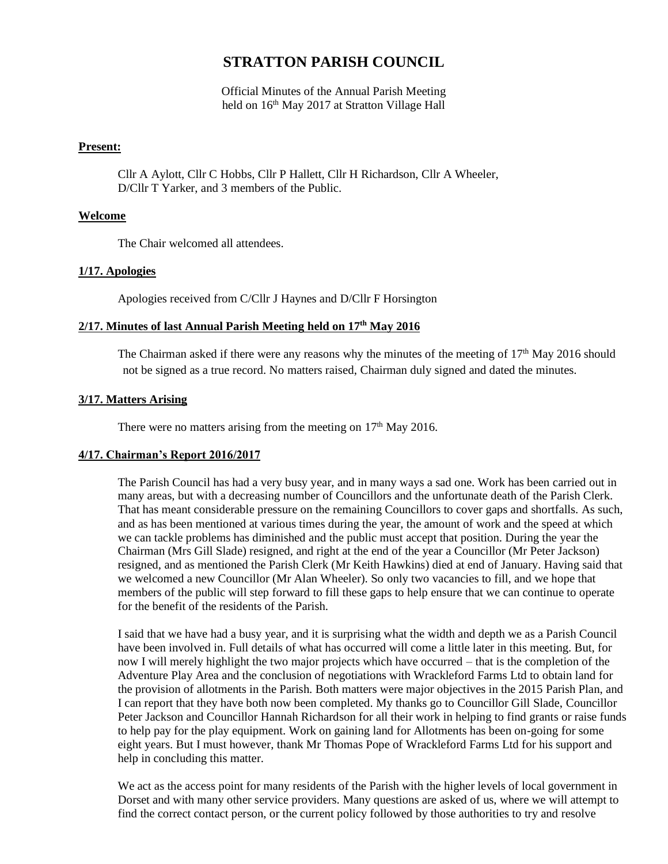# **STRATTON PARISH COUNCIL**

Official Minutes of the Annual Parish Meeting held on 16<sup>th</sup> May 2017 at Stratton Village Hall

## **Present:**

Cllr A Aylott, Cllr C Hobbs, Cllr P Hallett, Cllr H Richardson, Cllr A Wheeler, D/Cllr T Yarker, and 3 members of the Public.

## **Welcome**

The Chair welcomed all attendees.

## **1/17. Apologies**

Apologies received from C/Cllr J Haynes and D/Cllr F Horsington

## **2/17. Minutes of last Annual Parish Meeting held on 17 th May 2016**

The Chairman asked if there were any reasons why the minutes of the meeting of  $17<sup>th</sup>$  May 2016 should not be signed as a true record. No matters raised, Chairman duly signed and dated the minutes.

# **3/17. Matters Arising**

There were no matters arising from the meeting on  $17<sup>th</sup>$  May 2016.

# **4/17. Chairman's Report 2016/2017**

The Parish Council has had a very busy year, and in many ways a sad one. Work has been carried out in many areas, but with a decreasing number of Councillors and the unfortunate death of the Parish Clerk. That has meant considerable pressure on the remaining Councillors to cover gaps and shortfalls. As such, and as has been mentioned at various times during the year, the amount of work and the speed at which we can tackle problems has diminished and the public must accept that position. During the year the Chairman (Mrs Gill Slade) resigned, and right at the end of the year a Councillor (Mr Peter Jackson) resigned, and as mentioned the Parish Clerk (Mr Keith Hawkins) died at end of January. Having said that we welcomed a new Councillor (Mr Alan Wheeler). So only two vacancies to fill, and we hope that members of the public will step forward to fill these gaps to help ensure that we can continue to operate for the benefit of the residents of the Parish.

I said that we have had a busy year, and it is surprising what the width and depth we as a Parish Council have been involved in. Full details of what has occurred will come a little later in this meeting. But, for now I will merely highlight the two major projects which have occurred – that is the completion of the Adventure Play Area and the conclusion of negotiations with Wrackleford Farms Ltd to obtain land for the provision of allotments in the Parish. Both matters were major objectives in the 2015 Parish Plan, and I can report that they have both now been completed. My thanks go to Councillor Gill Slade, Councillor Peter Jackson and Councillor Hannah Richardson for all their work in helping to find grants or raise funds to help pay for the play equipment. Work on gaining land for Allotments has been on-going for some eight years. But I must however, thank Mr Thomas Pope of Wrackleford Farms Ltd for his support and help in concluding this matter.

We act as the access point for many residents of the Parish with the higher levels of local government in Dorset and with many other service providers. Many questions are asked of us, where we will attempt to find the correct contact person, or the current policy followed by those authorities to try and resolve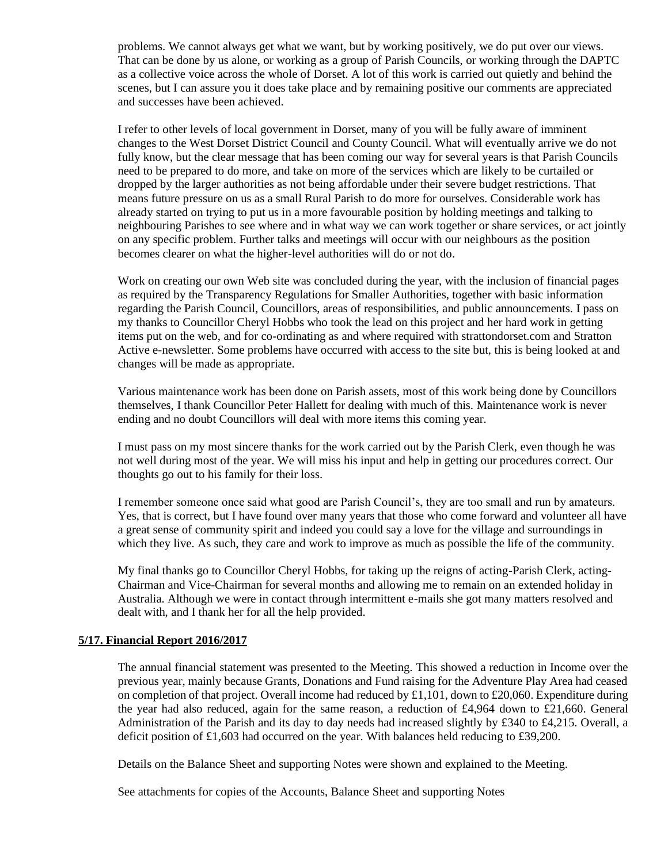problems. We cannot always get what we want, but by working positively, we do put over our views. That can be done by us alone, or working as a group of Parish Councils, or working through the DAPTC as a collective voice across the whole of Dorset. A lot of this work is carried out quietly and behind the scenes, but I can assure you it does take place and by remaining positive our comments are appreciated and successes have been achieved.

I refer to other levels of local government in Dorset, many of you will be fully aware of imminent changes to the West Dorset District Council and County Council. What will eventually arrive we do not fully know, but the clear message that has been coming our way for several years is that Parish Councils need to be prepared to do more, and take on more of the services which are likely to be curtailed or dropped by the larger authorities as not being affordable under their severe budget restrictions. That means future pressure on us as a small Rural Parish to do more for ourselves. Considerable work has already started on trying to put us in a more favourable position by holding meetings and talking to neighbouring Parishes to see where and in what way we can work together or share services, or act jointly on any specific problem. Further talks and meetings will occur with our neighbours as the position becomes clearer on what the higher-level authorities will do or not do.

Work on creating our own Web site was concluded during the year, with the inclusion of financial pages as required by the Transparency Regulations for Smaller Authorities, together with basic information regarding the Parish Council, Councillors, areas of responsibilities, and public announcements. I pass on my thanks to Councillor Cheryl Hobbs who took the lead on this project and her hard work in getting items put on the web, and for co-ordinating as and where required with strattondorset.com and Stratton Active e-newsletter. Some problems have occurred with access to the site but, this is being looked at and changes will be made as appropriate.

Various maintenance work has been done on Parish assets, most of this work being done by Councillors themselves, I thank Councillor Peter Hallett for dealing with much of this. Maintenance work is never ending and no doubt Councillors will deal with more items this coming year.

I must pass on my most sincere thanks for the work carried out by the Parish Clerk, even though he was not well during most of the year. We will miss his input and help in getting our procedures correct. Our thoughts go out to his family for their loss.

I remember someone once said what good are Parish Council's, they are too small and run by amateurs. Yes, that is correct, but I have found over many years that those who come forward and volunteer all have a great sense of community spirit and indeed you could say a love for the village and surroundings in which they live. As such, they care and work to improve as much as possible the life of the community.

My final thanks go to Councillor Cheryl Hobbs, for taking up the reigns of acting-Parish Clerk, acting-Chairman and Vice-Chairman for several months and allowing me to remain on an extended holiday in Australia. Although we were in contact through intermittent e-mails she got many matters resolved and dealt with, and I thank her for all the help provided.

#### **5/17. Financial Report 2016/2017**

The annual financial statement was presented to the Meeting. This showed a reduction in Income over the previous year, mainly because Grants, Donations and Fund raising for the Adventure Play Area had ceased on completion of that project. Overall income had reduced by  $\pounds1,101$ , down to  $\pounds20,060$ . Expenditure during the year had also reduced, again for the same reason, a reduction of £4,964 down to £21,660. General Administration of the Parish and its day to day needs had increased slightly by £340 to £4,215. Overall, a deficit position of £1,603 had occurred on the year. With balances held reducing to £39,200.

Details on the Balance Sheet and supporting Notes were shown and explained to the Meeting.

See attachments for copies of the Accounts, Balance Sheet and supporting Notes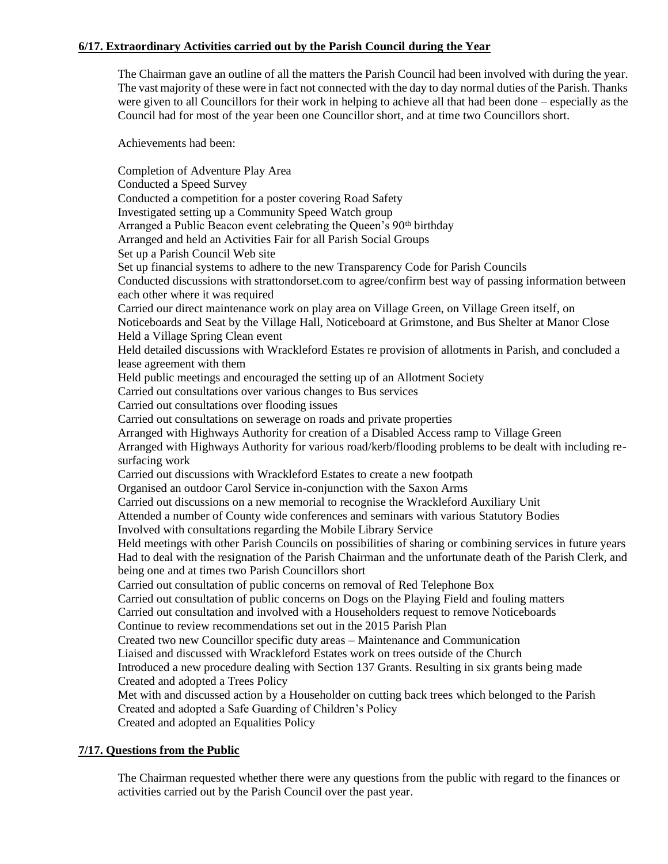# **6/17. Extraordinary Activities carried out by the Parish Council during the Year**

The Chairman gave an outline of all the matters the Parish Council had been involved with during the year. The vast majority of these were in fact not connected with the day to day normal duties of the Parish. Thanks were given to all Councillors for their work in helping to achieve all that had been done – especially as the Council had for most of the year been one Councillor short, and at time two Councillors short.

Achievements had been:

Completion of Adventure Play Area Conducted a Speed Survey Conducted a competition for a poster covering Road Safety Investigated setting up a Community Speed Watch group Arranged a Public Beacon event celebrating the Queen's 90<sup>th</sup> birthday Arranged and held an Activities Fair for all Parish Social Groups Set up a Parish Council Web site Set up financial systems to adhere to the new Transparency Code for Parish Councils Conducted discussions with strattondorset.com to agree/confirm best way of passing information between each other where it was required Carried our direct maintenance work on play area on Village Green, on Village Green itself, on Noticeboards and Seat by the Village Hall, Noticeboard at Grimstone, and Bus Shelter at Manor Close Held a Village Spring Clean event Held detailed discussions with Wrackleford Estates re provision of allotments in Parish, and concluded a lease agreement with them Held public meetings and encouraged the setting up of an Allotment Society Carried out consultations over various changes to Bus services Carried out consultations over flooding issues Carried out consultations on sewerage on roads and private properties Arranged with Highways Authority for creation of a Disabled Access ramp to Village Green Arranged with Highways Authority for various road/kerb/flooding problems to be dealt with including resurfacing work Carried out discussions with Wrackleford Estates to create a new footpath Organised an outdoor Carol Service in-conjunction with the Saxon Arms Carried out discussions on a new memorial to recognise the Wrackleford Auxiliary Unit Attended a number of County wide conferences and seminars with various Statutory Bodies Involved with consultations regarding the Mobile Library Service Held meetings with other Parish Councils on possibilities of sharing or combining services in future years Had to deal with the resignation of the Parish Chairman and the unfortunate death of the Parish Clerk, and being one and at times two Parish Councillors short Carried out consultation of public concerns on removal of Red Telephone Box Carried out consultation of public concerns on Dogs on the Playing Field and fouling matters Carried out consultation and involved with a Householders request to remove Noticeboards Continue to review recommendations set out in the 2015 Parish Plan Created two new Councillor specific duty areas – Maintenance and Communication Liaised and discussed with Wrackleford Estates work on trees outside of the Church Introduced a new procedure dealing with Section 137 Grants. Resulting in six grants being made Created and adopted a Trees Policy Met with and discussed action by a Householder on cutting back trees which belonged to the Parish Created and adopted a Safe Guarding of Children's Policy Created and adopted an Equalities Policy

# **7/17. Questions from the Public**

The Chairman requested whether there were any questions from the public with regard to the finances or activities carried out by the Parish Council over the past year.